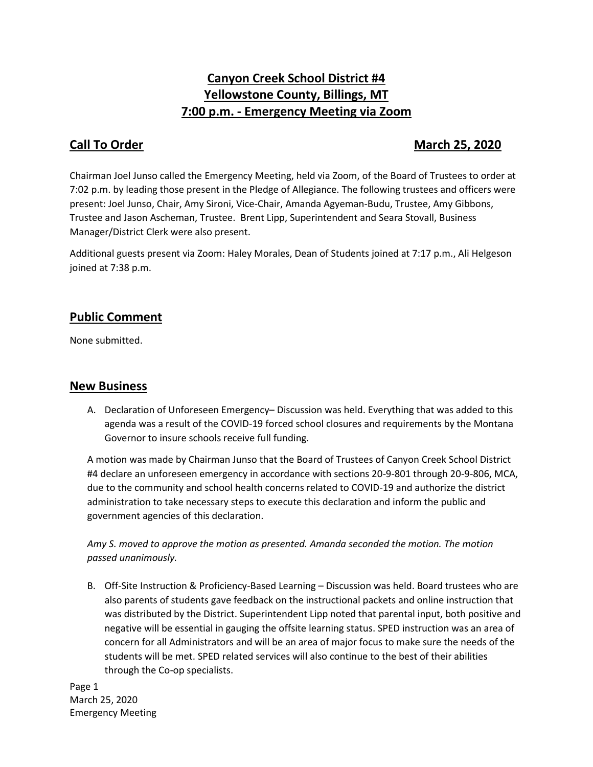# **Canyon Creek School District #4 Yellowstone County, Billings, MT 7:00 p.m. - Emergency Meeting via Zoom**

## **Call To Order March 25, 2020**

Chairman Joel Junso called the Emergency Meeting, held via Zoom, of the Board of Trustees to order at 7:02 p.m. by leading those present in the Pledge of Allegiance. The following trustees and officers were present: Joel Junso, Chair, Amy Sironi, Vice-Chair, Amanda Agyeman-Budu, Trustee, Amy Gibbons, Trustee and Jason Ascheman, Trustee. Brent Lipp, Superintendent and Seara Stovall, Business Manager/District Clerk were also present.

Additional guests present via Zoom: Haley Morales, Dean of Students joined at 7:17 p.m., Ali Helgeson joined at 7:38 p.m.

## **Public Comment**

None submitted.

### **New Business**

A. Declaration of Unforeseen Emergency– Discussion was held. Everything that was added to this agenda was a result of the COVID-19 forced school closures and requirements by the Montana Governor to insure schools receive full funding.

A motion was made by Chairman Junso that the Board of Trustees of Canyon Creek School District #4 declare an unforeseen emergency in accordance with sections 20-9-801 through 20-9-806, MCA, due to the community and school health concerns related to COVID-19 and authorize the district administration to take necessary steps to execute this declaration and inform the public and government agencies of this declaration.

*Amy S. moved to approve the motion as presented. Amanda seconded the motion. The motion passed unanimously.*

B. Off-Site Instruction & Proficiency-Based Learning – Discussion was held. Board trustees who are also parents of students gave feedback on the instructional packets and online instruction that was distributed by the District. Superintendent Lipp noted that parental input, both positive and negative will be essential in gauging the offsite learning status. SPED instruction was an area of concern for all Administrators and will be an area of major focus to make sure the needs of the students will be met. SPED related services will also continue to the best of their abilities through the Co-op specialists.

Page 1 March 25, 2020 Emergency Meeting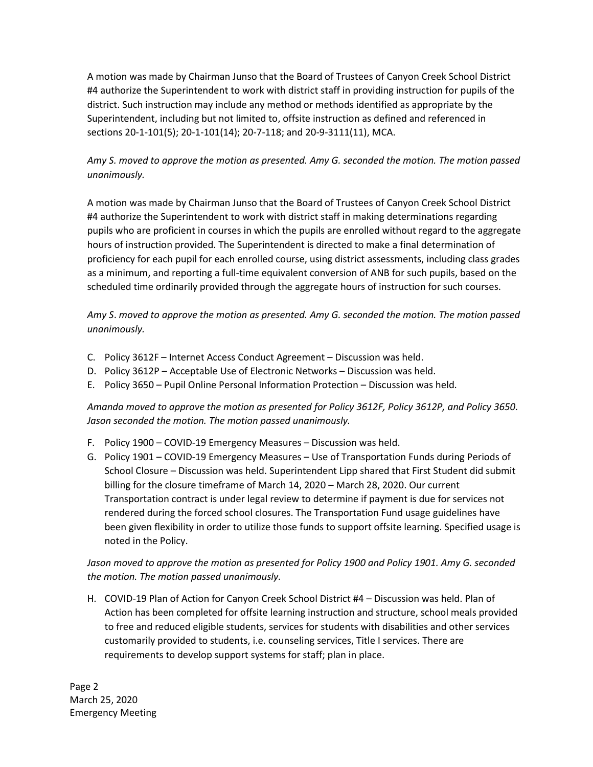A motion was made by Chairman Junso that the Board of Trustees of Canyon Creek School District #4 authorize the Superintendent to work with district staff in providing instruction for pupils of the district. Such instruction may include any method or methods identified as appropriate by the Superintendent, including but not limited to, offsite instruction as defined and referenced in sections 20-1-101(5); 20-1-101(14); 20-7-118; and 20-9-3111(11), MCA.

### *Amy S. moved to approve the motion as presented. Amy G. seconded the motion. The motion passed unanimously.*

A motion was made by Chairman Junso that the Board of Trustees of Canyon Creek School District #4 authorize the Superintendent to work with district staff in making determinations regarding pupils who are proficient in courses in which the pupils are enrolled without regard to the aggregate hours of instruction provided. The Superintendent is directed to make a final determination of proficiency for each pupil for each enrolled course, using district assessments, including class grades as a minimum, and reporting a full-time equivalent conversion of ANB for such pupils, based on the scheduled time ordinarily provided through the aggregate hours of instruction for such courses.

*Amy S*. *moved to approve the motion as presented. Amy G. seconded the motion. The motion passed unanimously.*

- C. Policy 3612F Internet Access Conduct Agreement Discussion was held.
- D. Policy 3612P Acceptable Use of Electronic Networks Discussion was held.
- E. Policy 3650 Pupil Online Personal Information Protection Discussion was held.

#### *Amanda moved to approve the motion as presented for Policy 3612F, Policy 3612P, and Policy 3650. Jason seconded the motion. The motion passed unanimously.*

- F. Policy 1900 COVID-19 Emergency Measures Discussion was held.
- G. Policy 1901 COVID-19 Emergency Measures Use of Transportation Funds during Periods of School Closure – Discussion was held. Superintendent Lipp shared that First Student did submit billing for the closure timeframe of March 14, 2020 – March 28, 2020. Our current Transportation contract is under legal review to determine if payment is due for services not rendered during the forced school closures. The Transportation Fund usage guidelines have been given flexibility in order to utilize those funds to support offsite learning. Specified usage is noted in the Policy.

*Jason moved to approve the motion as presented for Policy 1900 and Policy 1901. Amy G. seconded the motion. The motion passed unanimously.*

H. COVID-19 Plan of Action for Canyon Creek School District #4 – Discussion was held. Plan of Action has been completed for offsite learning instruction and structure, school meals provided to free and reduced eligible students, services for students with disabilities and other services customarily provided to students, i.e. counseling services, Title I services. There are requirements to develop support systems for staff; plan in place.

Page 2 March 25, 2020 Emergency Meeting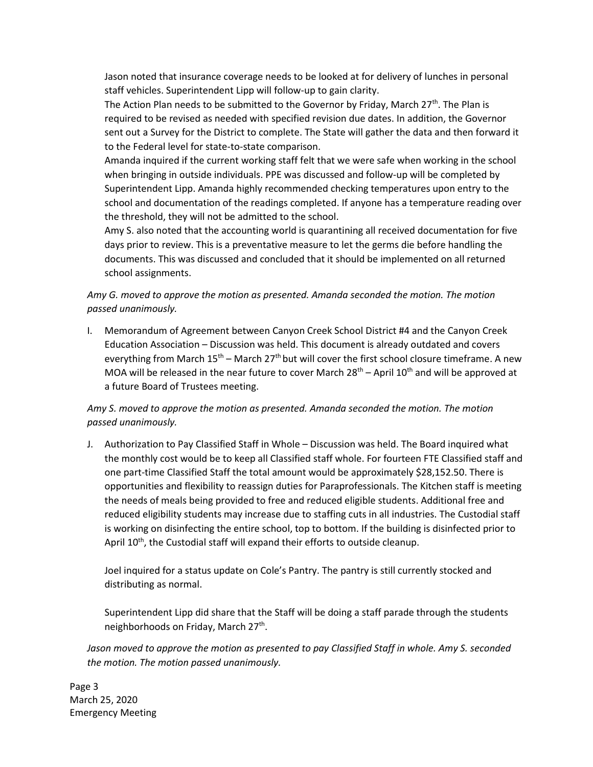Jason noted that insurance coverage needs to be looked at for delivery of lunches in personal staff vehicles. Superintendent Lipp will follow-up to gain clarity.

The Action Plan needs to be submitted to the Governor by Friday, March 27<sup>th</sup>. The Plan is required to be revised as needed with specified revision due dates. In addition, the Governor sent out a Survey for the District to complete. The State will gather the data and then forward it to the Federal level for state-to-state comparison.

Amanda inquired if the current working staff felt that we were safe when working in the school when bringing in outside individuals. PPE was discussed and follow-up will be completed by Superintendent Lipp. Amanda highly recommended checking temperatures upon entry to the school and documentation of the readings completed. If anyone has a temperature reading over the threshold, they will not be admitted to the school.

Amy S. also noted that the accounting world is quarantining all received documentation for five days prior to review. This is a preventative measure to let the germs die before handling the documents. This was discussed and concluded that it should be implemented on all returned school assignments.

*Amy G. moved to approve the motion as presented. Amanda seconded the motion. The motion passed unanimously.*

I. Memorandum of Agreement between Canyon Creek School District #4 and the Canyon Creek Education Association – Discussion was held. This document is already outdated and covers everything from March  $15<sup>th</sup>$  – March 27<sup>th</sup> but will cover the first school closure timeframe. A new MOA will be released in the near future to cover March  $28<sup>th</sup>$  – April  $10<sup>th</sup>$  and will be approved at a future Board of Trustees meeting.

#### *Amy S. moved to approve the motion as presented. Amanda seconded the motion. The motion passed unanimously.*

J. Authorization to Pay Classified Staff in Whole – Discussion was held. The Board inquired what the monthly cost would be to keep all Classified staff whole. For fourteen FTE Classified staff and one part-time Classified Staff the total amount would be approximately \$28,152.50. There is opportunities and flexibility to reassign duties for Paraprofessionals. The Kitchen staff is meeting the needs of meals being provided to free and reduced eligible students. Additional free and reduced eligibility students may increase due to staffing cuts in all industries. The Custodial staff is working on disinfecting the entire school, top to bottom. If the building is disinfected prior to April 10<sup>th</sup>, the Custodial staff will expand their efforts to outside cleanup.

Joel inquired for a status update on Cole's Pantry. The pantry is still currently stocked and distributing as normal.

Superintendent Lipp did share that the Staff will be doing a staff parade through the students neighborhoods on Friday, March 27<sup>th</sup>.

*Jason moved to approve the motion as presented to pay Classified Staff in whole. Amy S. seconded the motion. The motion passed unanimously.*

Page 3 March 25, 2020 Emergency Meeting